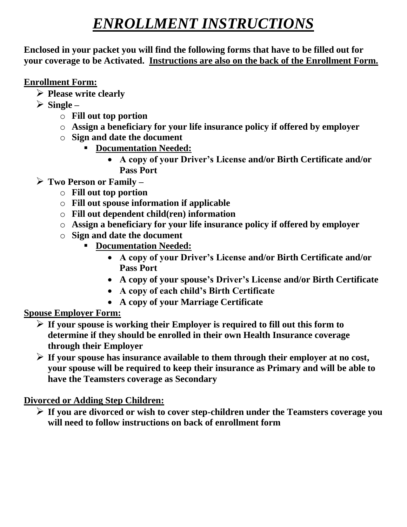# *ENROLLMENT INSTRUCTIONS*

**Enclosed in your packet you will find the following forms that have to be filled out for your coverage to be Activated. Instructions are also on the back of the Enrollment Form.**

#### **Enrollment Form:**

- ➢ **Please write clearly**
- ➢ **Single –**
	- o **Fill out top portion**
	- o **Assign a beneficiary for your life insurance policy if offered by employer**
	- o **Sign and date the document**
		- **Documentation Needed:**
			- **A copy of your Driver's License and/or Birth Certificate and/or Pass Port**
- ➢ **Two Person or Family –**
	- o **Fill out top portion**
	- o **Fill out spouse information if applicable**
	- o **Fill out dependent child(ren) information**
	- o **Assign a beneficiary for your life insurance policy if offered by employer**
	- o **Sign and date the document**
		- **Documentation Needed:**
			- **A copy of your Driver's License and/or Birth Certificate and/or Pass Port**
			- **A copy of your spouse's Driver's License and/or Birth Certificate**
			- **A copy of each child's Birth Certificate**
			- **A copy of your Marriage Certificate**

### **Spouse Employer Form:**

- ➢ **If your spouse is working their Employer is required to fill out this form to determine if they should be enrolled in their own Health Insurance coverage through their Employer**
- ➢ **If your spouse has insurance available to them through their employer at no cost, your spouse will be required to keep their insurance as Primary and will be able to have the Teamsters coverage as Secondary**

### **Divorced or Adding Step Children:**

➢ **If you are divorced or wish to cover step-children under the Teamsters coverage you will need to follow instructions on back of enrollment form**